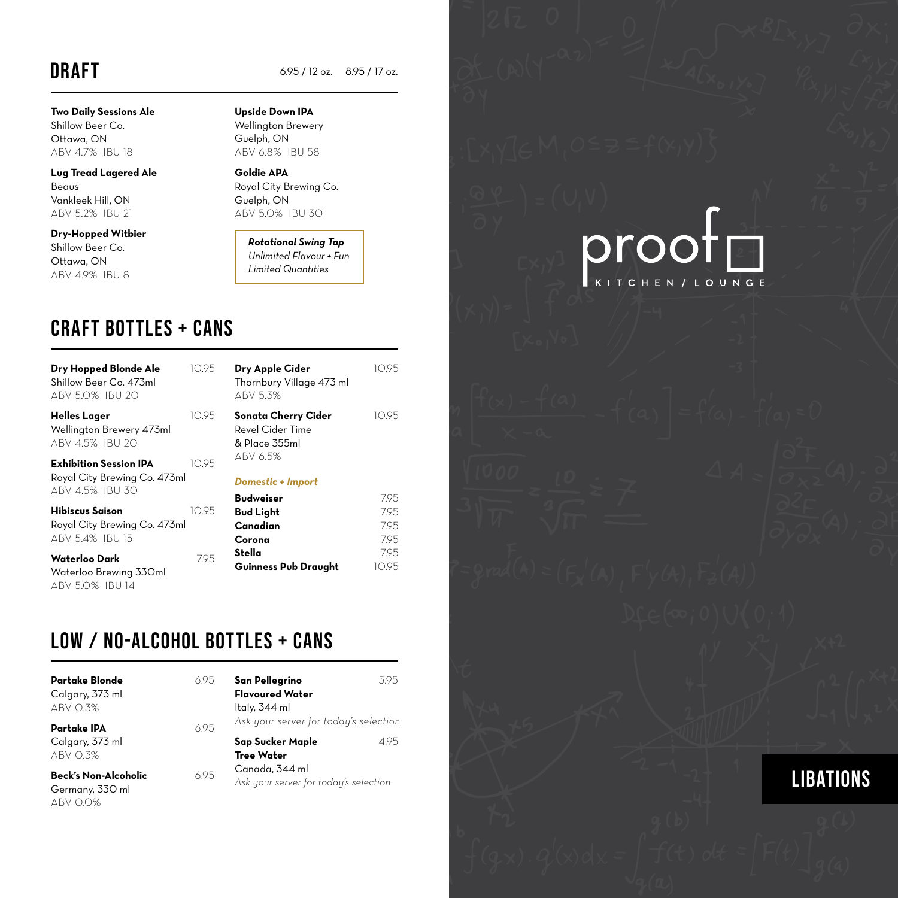### **DRAFT**

**Two Daily Sessions Ale** Shillow Beer Co. Ottawa, ON ABV 4.7% IBU 18

**Lug Tread Lagered Ale** Beaus Vankleek Hill, ON ABV 5.2% IBU 21

**Dry-Hopped Witbier** Shillow Beer Co. Ottawa, ON ABV 4.9% IBU 8

### **Upside Down IPA**

6.95 / 12 oz. 8.95 / 17 oz.

Wellington Brewery Guelph, ON ABV 6.8% IBU 58

**Goldie APA**  Royal City Brewing Co. Guelph, ON ABV 5.0% IBU 30

*Rotational Swing Tap Unlimited Flavour + Fun Limited Quantities*

### craft bottles + cans

| Dry Hopped Blonde Ale<br>Shillow Beer Co. 473ml<br>ABV 5.0% IBU 20        | 10.95 | Dry Apple Cider<br>Thornbury Village 473 ml<br>ABV 5.3%  | 10.95               |
|---------------------------------------------------------------------------|-------|----------------------------------------------------------|---------------------|
| Helles Lager<br>Wellington Brewery 473ml<br>ABV 4.5% IBU 20               | 10.95 | Sonata Cherry Cider<br>Revel Cider Time<br>& Place 355ml | 10.95               |
| Exhibition Session IPA<br>Royal City Brewing Co. 473ml<br>ABV 4.5% IBU 30 | 1095  | ABV 6.5%<br>Domestic + Import<br><b>Budweiser</b>        | 7.95                |
| Hibiscus Saison<br>Royal City Brewing Co. 473ml<br>ABV 5.4% IBU 15        | 10.95 | <b>Bud Light</b><br>Canadian<br>Corona                   | 7.95<br>7.95<br>795 |
| Waterloo Dark<br>Waterloo Brewing 330ml<br><b>ABV 5.0% IBU 14</b>         | 795   | Stella<br>Guinness Pub Draught                           | 795<br>10.95        |

## LOW / NO-ALCOHOL BOTTLES + CANS

| Partake Blonde<br>Calgary, 373 ml<br>ABV 0.3%              | 6.95 | San Pellegrino<br><b>Flavoured Water</b><br>Italy, 344 ml                      | 595 |
|------------------------------------------------------------|------|--------------------------------------------------------------------------------|-----|
| <b>Partake IPA</b><br>Calgary, 373 ml<br>ABV 0.3%          | 6.95 | Ask your server for today's selection<br>Sap Sucker Maple<br><b>Tree Water</b> | 495 |
| <b>Beck's Non-Alcoholic</b><br>Germany, 330 ml<br>ABV 0.0% | 695  | Canada, 344 ml<br>Ask your server for today's selection                        |     |



LIBATIONS